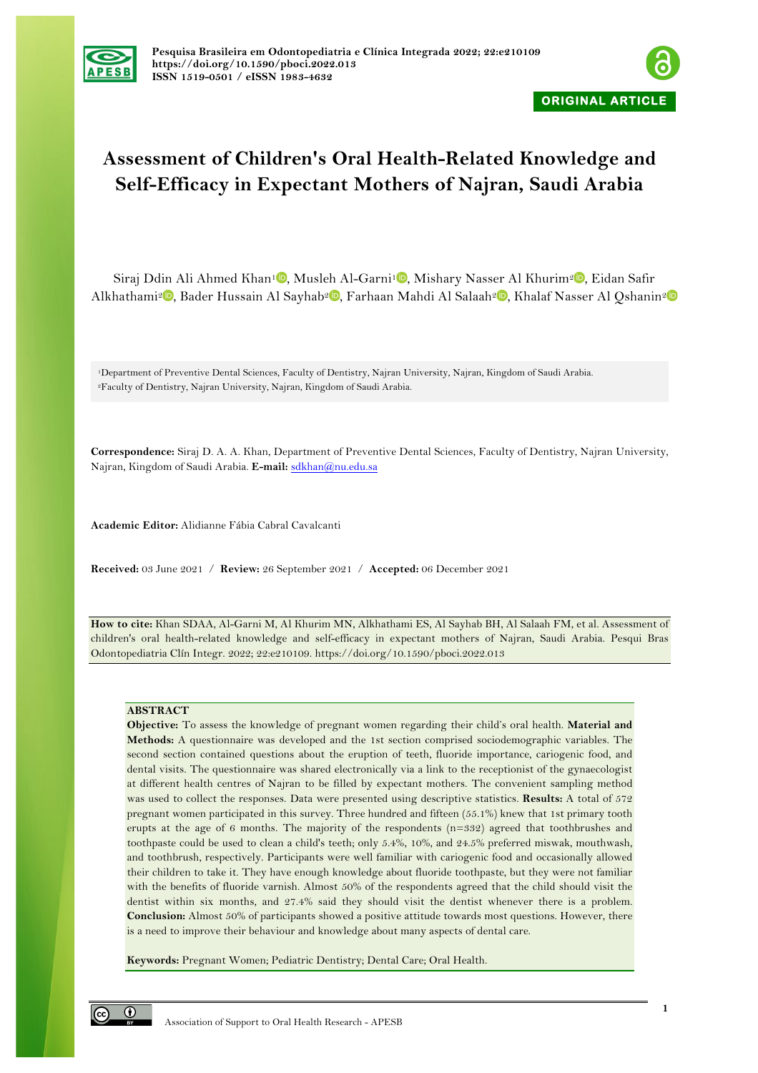



# **Assessment of Children's Oral Health-Related Knowledge and Self-Efficacy in Expectant Mothers of Najran, Saudi Arabia**

Siraj Ddin Ali Ahmed Khan<sup>1</sup><sup>0</sup>[,](https://orcid.org/0000-0002-6994-7943) Musleh Al-Garni<sup>1</sup><sup>0</sup>, Mishary Nasser Al Khurim<sup>[2](https://orcid.org/0000-0002-2696-740X)</sup><sup>0</sup>, Eidan Safir Alkhathami<sup>2</sup> [,](https://orcid.org/0000-0002-2033-0811) Bader Hussain Al Sayhab<sup>2</sup> , Farhaan Mahdi Al Salaah<sup>2</sup> , Khalaf Nasser Al Oshanin<sup>2</sup>

1Department of Preventive Dental Sciences, Faculty of Dentistry, Najran University, Najran, Kingdom of Saudi Arabia. 2Faculty of Dentistry, Najran University, Najran, Kingdom of Saudi Arabia.

**Correspondence:** Siraj D. A. A. Khan, Department of Preventive Dental Sciences, Faculty of Dentistry, Najran University, Najran, Kingdom of Saudi Arabia. **E-mail:** sdkhan@nu.edu.sa

**Academic Editor:** Alidianne Fábia Cabral Cavalcanti

**Received:** 03 June 2021 / **Review:** 26 September 2021 / **Accepted:** 06 December 2021

**How to cite:** Khan SDAA, Al-Garni M, Al Khurim MN, Alkhathami ES, Al Sayhab BH, Al Salaah FM, et al. Assessment of children's oral health-related knowledge and self-efficacy in expectant mothers of Najran, Saudi Arabia. Pesqui Bras Odontopediatria Clín Integr. 2022; 22:e210109. https://doi.org/10.1590/pboci.2022.013

#### **ABSTRACT**

**Objective:** To assess the knowledge of pregnant women regarding their child's oral health. **Material and Methods:** A questionnaire was developed and the 1st section comprised sociodemographic variables. The second section contained questions about the eruption of teeth, fluoride importance, cariogenic food, and dental visits. The questionnaire was shared electronically via a link to the receptionist of the gynaecologist at different health centres of Najran to be filled by expectant mothers. The convenient sampling method was used to collect the responses. Data were presented using descriptive statistics. **Results:** A total of 572 pregnant women participated in this survey. Three hundred and fifteen (55.1%) knew that 1st primary tooth erupts at the age of 6 months. The majority of the respondents (n=332) agreed that toothbrushes and toothpaste could be used to clean a child's teeth; only 5.4%, 10%, and 24.5% preferred miswak, mouthwash, and toothbrush, respectively. Participants were well familiar with cariogenic food and occasionally allowed their children to take it. They have enough knowledge about fluoride toothpaste, but they were not familiar with the benefits of fluoride varnish. Almost 50% of the respondents agreed that the child should visit the dentist within six months, and 27.4% said they should visit the dentist whenever there is a problem. **Conclusion:** Almost 50% of participants showed a positive attitude towards most questions. However, there is a need to improve their behaviour and knowledge about many aspects of dental care.

**Keywords:** Pregnant Women; Pediatric Dentistry; Dental Care; Oral Health.

 $\odot$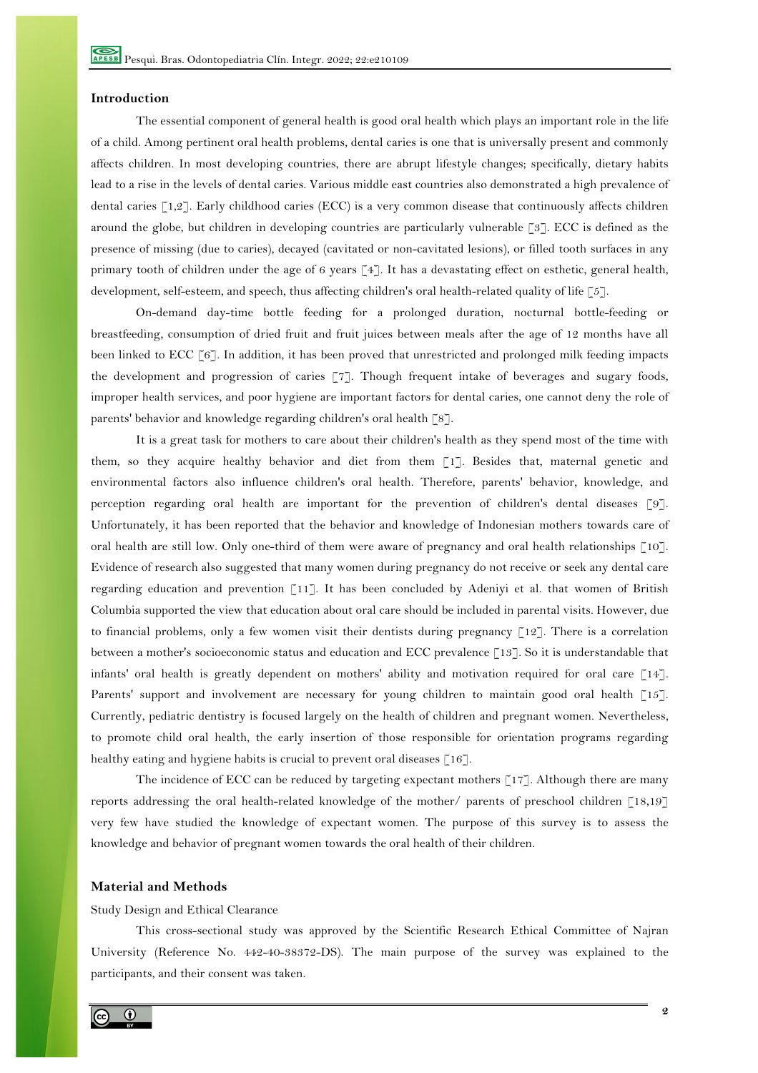## **Introduction**

The essential component of general health is good oral health which plays an important role in the life of a child. Among pertinent oral health problems, dental caries is one that is universally present and commonly affects children. In most developing countries, there are abrupt lifestyle changes; specifically, dietary habits lead to a rise in the levels of dental caries. Various middle east countries also demonstrated a high prevalence of dental caries [1,2]. Early childhood caries (ECC) is a very common disease that continuously affects children around the globe, but children in developing countries are particularly vulnerable [3]. ECC is defined as the presence of missing (due to caries), decayed (cavitated or non-cavitated lesions), or filled tooth surfaces in any primary tooth of children under the age of 6 years [4]. It has a devastating effect on esthetic, general health, development, self-esteem, and speech, thus affecting children's oral health-related quality of life [5].

On-demand day-time bottle feeding for a prolonged duration, nocturnal bottle-feeding or breastfeeding, consumption of dried fruit and fruit juices between meals after the age of 12 months have all been linked to ECC [6]. In addition, it has been proved that unrestricted and prolonged milk feeding impacts the development and progression of caries [7]. Though frequent intake of beverages and sugary foods, improper health services, and poor hygiene are important factors for dental caries, one cannot deny the role of parents' behavior and knowledge regarding children's oral health [8].

It is a great task for mothers to care about their children's health as they spend most of the time with them, so they acquire healthy behavior and diet from them [1]. Besides that, maternal genetic and environmental factors also influence children's oral health. Therefore, parents' behavior, knowledge, and perception regarding oral health are important for the prevention of children's dental diseases [9]. Unfortunately, it has been reported that the behavior and knowledge of Indonesian mothers towards care of oral health are still low. Only one-third of them were aware of pregnancy and oral health relationships [10]. Evidence of research also suggested that many women during pregnancy do not receive or seek any dental care regarding education and prevention [11]. It has been concluded by Adeniyi et al. that women of British Columbia supported the view that education about oral care should be included in parental visits. However, due to financial problems, only a few women visit their dentists during pregnancy  $\lceil 12 \rceil$ . There is a correlation between a mother's socioeconomic status and education and ECC prevalence [13]. So it is understandable that infants' oral health is greatly dependent on mothers' ability and motivation required for oral care [14]. Parents' support and involvement are necessary for young children to maintain good oral health [15]. Currently, pediatric dentistry is focused largely on the health of children and pregnant women. Nevertheless, to promote child oral health, the early insertion of those responsible for orientation programs regarding healthy eating and hygiene habits is crucial to prevent oral diseases [16].

The incidence of ECC can be reduced by targeting expectant mothers  $\lceil 17 \rceil$ . Although there are many reports addressing the oral health-related knowledge of the mother/ parents of preschool children [18,19] very few have studied the knowledge of expectant women. The purpose of this survey is to assess the knowledge and behavior of pregnant women towards the oral health of their children.

## **Material and Methods**

#### Study Design and Ethical Clearance

This cross-sectional study was approved by the Scientific Research Ethical Committee of Najran University (Reference No. 442-40-38372-DS). The main purpose of the survey was explained to the participants, and their consent was taken.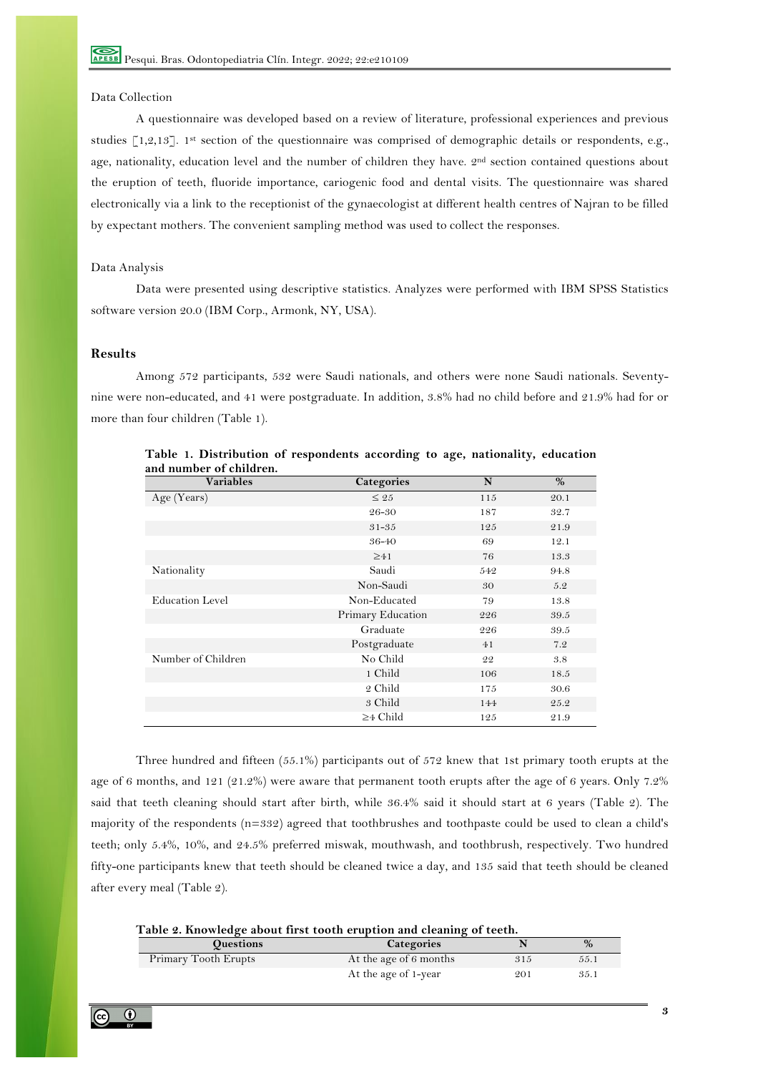# Data Collection

A questionnaire was developed based on a review of literature, professional experiences and previous studies [1,2,13]. 1st section of the questionnaire was comprised of demographic details or respondents, e.g., age, nationality, education level and the number of children they have. 2<sup>nd</sup> section contained questions about the eruption of teeth, fluoride importance, cariogenic food and dental visits. The questionnaire was shared electronically via a link to the receptionist of the gynaecologist at different health centres of Najran to be filled by expectant mothers. The convenient sampling method was used to collect the responses.

#### Data Analysis

Data were presented using descriptive statistics. Analyzes were performed with IBM SPSS Statistics software version 20.0 (IBM Corp., Armonk, NY, USA).

## **Results**

Among 572 participants, 532 were Saudi nationals, and others were none Saudi nationals. Seventynine were non-educated, and 41 were postgraduate. In addition, 3.8% had no child before and 21.9% had for or more than four children (Table 1).

| <b>Variables</b>       | Categories        | N   | %    |
|------------------------|-------------------|-----|------|
| Age (Years)            | $\leq 25$         | 115 | 20.1 |
|                        | 26-30             | 187 | 32.7 |
|                        | $31 - 35$         | 125 | 21.9 |
|                        | 36-40             | 69  | 12.1 |
|                        | $\geq 41$         | 76  | 13.3 |
| Nationality            | Saudi             | 542 | 94.8 |
|                        | Non-Saudi         | 30  | 5.2  |
| <b>Education Level</b> | Non-Educated      | 79  | 13.8 |
|                        | Primary Education | 226 | 39.5 |
|                        | Graduate          | 226 | 39.5 |
|                        | Postgraduate      | 41  | 7.2  |
| Number of Children     | No Child          | 22  | 3.8  |
|                        | 1 Child           | 106 | 18.5 |
|                        | 2 Child           | 175 | 30.6 |
|                        | 3 Child           | 144 | 25.2 |
|                        | $\geq$ 4 Child    | 125 | 21.9 |

**Table 1. Distribution of respondents according to age, nationality, education and number of children.**

Three hundred and fifteen (55.1%) participants out of 572 knew that 1st primary tooth erupts at the age of 6 months, and 121 (21.2%) were aware that permanent tooth erupts after the age of 6 years. Only 7.2% said that teeth cleaning should start after birth, while 36.4% said it should start at 6 years (Table 2). The majority of the respondents (n=332) agreed that toothbrushes and toothpaste could be used to clean a child's teeth; only 5.4%, 10%, and 24.5% preferred miswak, mouthwash, and toothbrush, respectively. Two hundred fifty-one participants knew that teeth should be cleaned twice a day, and 135 said that teeth should be cleaned after every meal (Table 2).

| Table 2. Knowledge about first tooth eruption and cleaning of teeth. |                        |     |      |  |  |
|----------------------------------------------------------------------|------------------------|-----|------|--|--|
| <b>Ouestions</b>                                                     | <b>Categories</b>      |     | %    |  |  |
| Primary Tooth Erupts                                                 | At the age of 6 months | 315 | 55.1 |  |  |
|                                                                      | At the age of 1-year   | 201 | 35.1 |  |  |

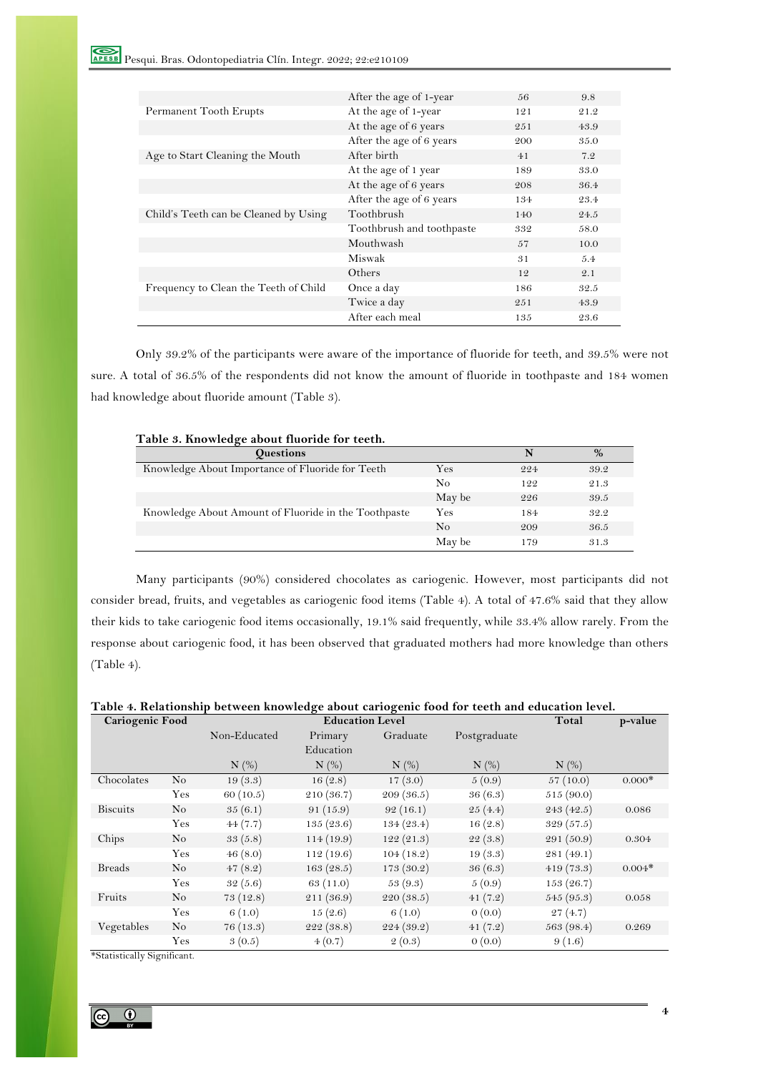|                                       | After the age of 1-year   | 56  | 9.8  |
|---------------------------------------|---------------------------|-----|------|
| Permanent Tooth Erupts                | At the age of 1-year      | 121 | 21.2 |
|                                       | At the age of 6 years     | 251 | 43.9 |
|                                       | After the age of 6 years  | 200 | 35.0 |
| Age to Start Cleaning the Mouth       | After birth               | 41  | 7.2  |
|                                       | At the age of 1 year      | 189 | 33.0 |
|                                       | At the age of 6 years     | 208 | 36.4 |
|                                       | After the age of 6 years  | 134 | 23.4 |
| Child's Teeth can be Cleaned by Using | Toothbrush                | 140 | 24.5 |
|                                       | Toothbrush and toothpaste | 332 | 58.0 |
|                                       | Mouthwash                 | 57  | 10.0 |
|                                       | Miswak                    | 31  | 5.4  |
|                                       | Others                    | 12  | 2.1  |
| Frequency to Clean the Teeth of Child | Once a day                | 186 | 32.5 |
|                                       | Twice a day               | 251 | 43.9 |
|                                       | After each meal           | 135 | 23.6 |

Only 39.2% of the participants were aware of the importance of fluoride for teeth, and 39.5% were not sure. A total of 36.5% of the respondents did not know the amount of fluoride in toothpaste and 184 women had knowledge about fluoride amount (Table 3).

| <b>Ouestions</b>                                     |        | N   | $\%$ |
|------------------------------------------------------|--------|-----|------|
| Knowledge About Importance of Fluoride for Teeth     | Yes    | 224 | 39.2 |
|                                                      | No     | 122 | 21.3 |
|                                                      | May be | 226 | 39.5 |
| Knowledge About Amount of Fluoride in the Toothpaste | Yes    | 184 | 32.2 |
|                                                      | No     | 209 | 36.5 |
|                                                      | May be | 179 | 31.3 |

Many participants (90%) considered chocolates as cariogenic. However, most participants did not consider bread, fruits, and vegetables as cariogenic food items (Table 4). A total of 47.6% said that they allow their kids to take cariogenic food items occasionally, 19.1% said frequently, while 33.4% allow rarely. From the response about cariogenic food, it has been observed that graduated mothers had more knowledge than others (Table 4).

## **Table 4. Relationship between knowledge about cariogenic food for teeth and education level.**

| Cariogenic Food |                    | <b>Education Level</b> |            |            |              | Total<br>p-value |          |  |
|-----------------|--------------------|------------------------|------------|------------|--------------|------------------|----------|--|
|                 |                    | Non-Educated           | Primary    | Graduate   | Postgraduate |                  |          |  |
|                 |                    |                        | Education  |            |              |                  |          |  |
|                 |                    | $N$ $(\%)$             | $N$ $(\%)$ | $N$ $(\%)$ | $N$ (%)      | $N$ $(\%)$       |          |  |
| Chocolates      | N <sub>o</sub>     | 19(3.3)                | 16(2.8)    | 17(3.0)    | 5(0.9)       | 57(10.0)         | $0.000*$ |  |
|                 | Yes                | 60(10.5)               | 210(36.7)  | 209(36.5)  | 36(6.3)      | 515(90.0)        |          |  |
| <b>Biscuits</b> | $\overline{N}_{O}$ | 35(6.1)                | 91(15.9)   | 92(16.1)   | 25(4.4)      | 243 (42.5)       | 0.086    |  |
|                 | Yes                | 44(7.7)                | 135(23.6)  | 134(23.4)  | 16(2.8)      | 329(57.5)        |          |  |
| Chips           | No                 | 33(5.8)                | 114(19.9)  | 122(21.3)  | 22(3.8)      | 291 (50.9)       | 0.304    |  |
|                 | Yes                | 46(8.0)                | 112(19.6)  | 104(18.2)  | 19(3.3)      | 281(49.1)        |          |  |
| <b>Breads</b>   | No                 | 47(8.2)                | 163(28.5)  | 173(30.2)  | 36(6.3)      | 419(73.3)        | $0.004*$ |  |
|                 | Yes                | 32(5.6)                | 63(11.0)   | 53(9.3)    | 5(0.9)       | 153(26.7)        |          |  |
| Fruits          | No                 | 73(12.8)               | 211 (36.9) | 220(38.5)  | 41(7.2)      | 545(95.3)        | 0.058    |  |
|                 | Yes                | 6(1.0)                 | 15(2.6)    | 6(1.0)     | 0(0.0)       | 27(4.7)          |          |  |
| Vegetables      | N <sub>o</sub>     | 76(13.3)               | 222(38.8)  | 224(39.2)  | 41(7.2)      | 563(98.4)        | 0.269    |  |
|                 | Yes                | 3(0.5)                 | 4(0.7)     | 2(0.3)     | 0(0.0)       | 9(1.6)           |          |  |

\*Statistically Significant.

 $\mathbf{r}$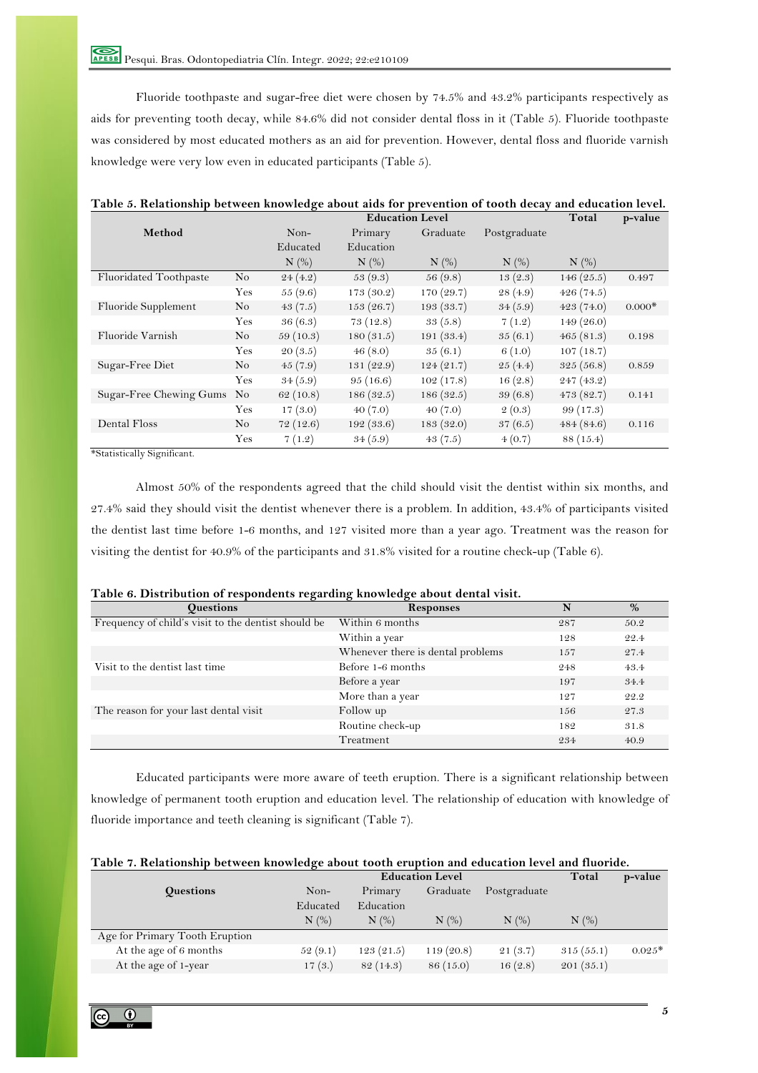Fluoride toothpaste and sugar-free diet were chosen by 74.5% and 43.2% participants respectively as aids for preventing tooth decay, while 84.6% did not consider dental floss in it (Table 5). Fluoride toothpaste was considered by most educated mothers as an aid for prevention. However, dental floss and fluoride varnish knowledge were very low even in educated participants (Table 5).

| Table 5. Relationship between knowledge about aids for prevention of tooth decay and education level. |                |            |            |                        |              |            |          |
|-------------------------------------------------------------------------------------------------------|----------------|------------|------------|------------------------|--------------|------------|----------|
|                                                                                                       |                |            |            | <b>Education Level</b> |              | Total      | p-value  |
| Method                                                                                                |                | Non-       | Primary    | Graduate               | Postgraduate |            |          |
|                                                                                                       |                | Educated   | Education  |                        |              |            |          |
|                                                                                                       |                | $N$ $(\%)$ | $N$ $(\%)$ | $N$ $(\%)$             | $N$ $(\%)$   | $N$ $(\%)$ |          |
| Fluoridated Toothpaste                                                                                | No             | 24(4.2)    | 53(9.3)    | 56(9.8)                | 13(2.3)      | 146(25.5)  | 0.497    |
|                                                                                                       | Yes            | 55(9.6)    | 173(30.2)  | 170 (29.7)             | 28 (4.9)     | 426(74.5)  |          |
| Fluoride Supplement                                                                                   | No             | 43(7.5)    | 153(26.7)  | 193(33.7)              | 34(5.9)      | 423(74.0)  | $0.000*$ |
|                                                                                                       | Yes            | 36(6.3)    | 73(12.8)   | 33(5.8)                | 7(1.2)       | 149(26.0)  |          |
| Fluoride Varnish                                                                                      | N <sub>o</sub> | 59(10.3)   | 180(31.5)  | 191(33.4)              | 35(6.1)      | 465(81.3)  | 0.198    |
|                                                                                                       | Yes            | 20(3.5)    | 46(8.0)    | 35(6.1)                | 6(1.0)       | 107(18.7)  |          |
| Sugar-Free Diet                                                                                       | $\rm No$       | 45(7.9)    | 131(22.9)  | 124(21.7)              | 25(4.4)      | 325(56.8)  | 0.859    |
|                                                                                                       | Yes            | 34(5.9)    | 95(16.6)   | 102(17.8)              | 16(2.8)      | 247(43.2)  |          |
| Sugar-Free Chewing Gums                                                                               | No             | 62(10.8)   | 186(32.5)  | 186(32.5)              | 39(6.8)      | 473(82.7)  | 0.141    |
|                                                                                                       | Yes            | 17(3.0)    | 40(7.0)    | 40(7.0)                | 2(0.3)       | 99(17.3)   |          |
| Dental Floss                                                                                          | No             | 72(12.6)   | 192(33.6)  | 183(32.0)              | 37(6.5)      | 484(84.6)  | 0.116    |
|                                                                                                       | Yes            | 7(1.2)     | 34(5.9)    | 43(7.5)                | 4(0.7)       | 88 (15.4)  |          |

\*Statistically Significant.

Almost 50% of the respondents agreed that the child should visit the dentist within six months, and 27.4% said they should visit the dentist whenever there is a problem. In addition, 43.4% of participants visited the dentist last time before 1-6 months, and 127 visited more than a year ago. Treatment was the reason for visiting the dentist for 40.9% of the participants and 31.8% visited for a routine check-up (Table 6).

| <b>Questions</b>                                    | <b>Responses</b>                  | N   | $\%$ |
|-----------------------------------------------------|-----------------------------------|-----|------|
| Frequency of child's visit to the dentist should be | Within 6 months                   | 287 | 50.2 |
|                                                     | Within a year                     | 128 | 22.4 |
|                                                     | Whenever there is dental problems | 157 | 27.4 |
| Visit to the dentist last time                      | Before 1-6 months                 | 248 | 43.4 |
|                                                     | Before a year                     | 197 | 34.4 |
|                                                     | More than a year                  | 127 | 22.2 |
| The reason for your last dental visit               | Follow up                         | 156 | 27.3 |
|                                                     | Routine check-up                  | 182 | 31.8 |
|                                                     | Treatment                         | 234 | 40.9 |

|  |  | Table 6. Distribution of respondents regarding knowledge about dental visit. |  |  |  |  |  |
|--|--|------------------------------------------------------------------------------|--|--|--|--|--|
|--|--|------------------------------------------------------------------------------|--|--|--|--|--|

Educated participants were more aware of teeth eruption. There is a significant relationship between knowledge of permanent tooth eruption and education level. The relationship of education with knowledge of fluoride importance and teeth cleaning is significant (Table 7).

| Table 7. Relationship between knowledge about tooth eruption and education level and fluoride. |  |  |
|------------------------------------------------------------------------------------------------|--|--|
|                                                                                                |  |  |

|                                |                  | <b>Education Level</b> |                                  |           |                                      |            | p-value  |
|--------------------------------|------------------|------------------------|----------------------------------|-----------|--------------------------------------|------------|----------|
|                                | <b>Questions</b> | Non-                   | Primary                          | Graduate  | Postgraduate                         |            |          |
|                                |                  | Educated               | Education                        |           |                                      |            |          |
|                                |                  | $N$ $(\%)$             | $N$ $\left(\frac{\%}{\%}\right)$ | N(%)      | $N$ $\left(\frac{\%}{\alpha}\right)$ | $N$ $(\%)$ |          |
| Age for Primary Tooth Eruption |                  |                        |                                  |           |                                      |            |          |
| At the age of 6 months         |                  | 52(9.1)                | 123(21.5)                        | 119(20.8) | 21(3.7)                              | 315(55.1)  | $0.025*$ |
| At the age of 1-year           |                  | 17(3.)                 | 82(14.3)                         | 86 (15.0) | 16(2.8)                              | 201(35.1)  |          |
|                                |                  |                        |                                  |           |                                      |            |          |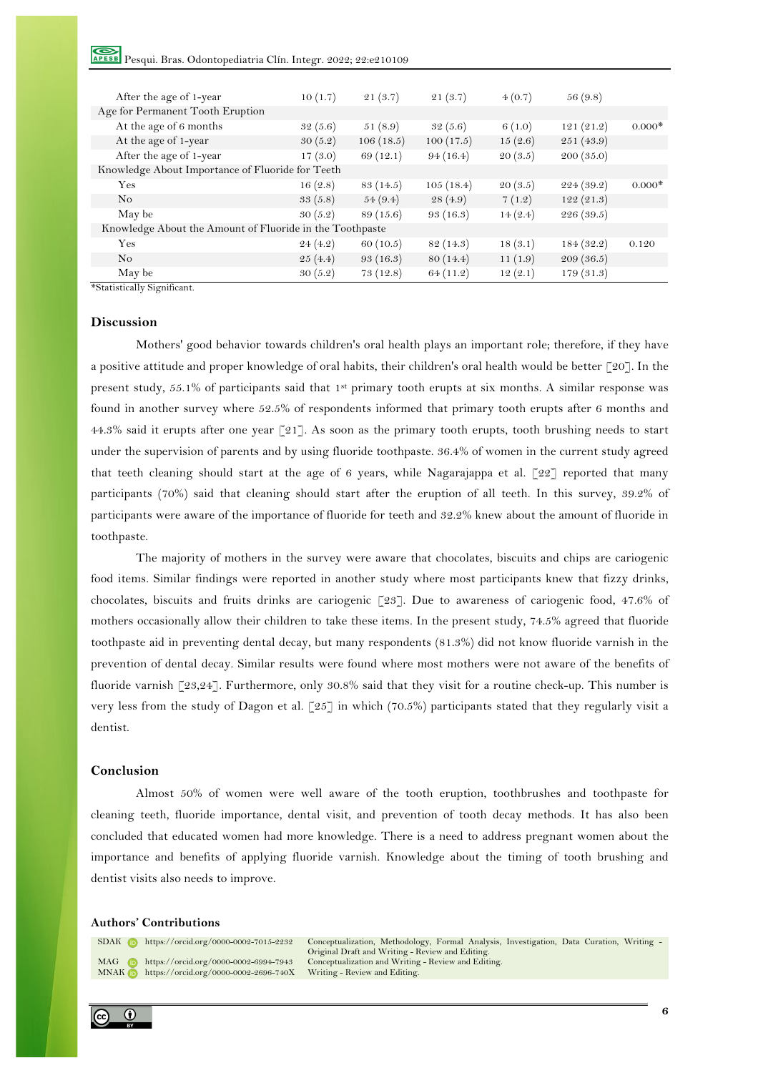Pesqui. Bras. Odontopediatria Clín. Integr. 2022; 22:e210109

| After the age of 1-year                                  | 10(1.7) | 21(3.7)   | 21(3.7)   | 4(0.7)  | 56 (9.8)  |          |
|----------------------------------------------------------|---------|-----------|-----------|---------|-----------|----------|
| Age for Permanent Tooth Eruption                         |         |           |           |         |           |          |
| At the age of 6 months                                   | 32(5.6) | 51(8.9)   | 32(5.6)   | 6(1.0)  | 121(21.2) | $0.000*$ |
| At the age of 1-year                                     | 30(5.2) | 106(18.5) | 100(17.5) | 15(2.6) | 251(43.9) |          |
| After the age of 1-year                                  | 17(3.0) | 69(12.1)  | 94(16.4)  | 20(3.5) | 200(35.0) |          |
| Knowledge About Importance of Fluoride for Teeth         |         |           |           |         |           |          |
| Yes                                                      | 16(2.8) | 83 (14.5) | 105(18.4) | 20(3.5) | 224(39.2) | $0.000*$ |
| N <sub>o</sub>                                           | 33(5.8) | 54(9.4)   | 28(4.9)   | 7(1.2)  | 122(21.3) |          |
| May be                                                   | 30(5.2) | 89(15.6)  | 93(16.3)  | 14(2.4) | 226(39.5) |          |
| Knowledge About the Amount of Fluoride in the Toothpaste |         |           |           |         |           |          |
| Yes                                                      | 24(4.2) | 60(10.5)  | 82 (14.3) | 18(3.1) | 184(32.2) | 0.120    |
| N <sub>o</sub>                                           | 25(4.4) | 93(16.3)  | 80(14.4)  | 11(1.9) | 209(36.5) |          |
| May be                                                   | 30(5.2) | 73(12.8)  | 64(11.2)  | 12(2.1) | 179(31.3) |          |

\*Statistically Significant.

## **Discussion**

Mothers' good behavior towards children's oral health plays an important role; therefore, if they have a positive attitude and proper knowledge of oral habits, their children's oral health would be better [20]. In the present study, 55.1% of participants said that 1st primary tooth erupts at six months. A similar response was found in another survey where 52.5% of respondents informed that primary tooth erupts after 6 months and 44.3% said it erupts after one year [21]. As soon as the primary tooth erupts, tooth brushing needs to start under the supervision of parents and by using fluoride toothpaste. 36.4% of women in the current study agreed that teeth cleaning should start at the age of 6 years, while Nagarajappa et al. [22] reported that many participants (70%) said that cleaning should start after the eruption of all teeth. In this survey, 39.2% of participants were aware of the importance of fluoride for teeth and 32.2% knew about the amount of fluoride in toothpaste.

The majority of mothers in the survey were aware that chocolates, biscuits and chips are cariogenic food items. Similar findings were reported in another study where most participants knew that fizzy drinks, chocolates, biscuits and fruits drinks are cariogenic [23]. Due to awareness of cariogenic food, 47.6% of mothers occasionally allow their children to take these items. In the present study, 74.5% agreed that fluoride toothpaste aid in preventing dental decay, but many respondents (81.3%) did not know fluoride varnish in the prevention of dental decay. Similar results were found where most mothers were not aware of the benefits of fluoride varnish [23,24]. Furthermore, only 30.8% said that they visit for a routine check-up. This number is very less from the study of Dagon et al. [25] in which (70.5%) participants stated that they regularly visit a dentist.

## **Conclusion**

Almost 50% of women were well aware of the tooth eruption, toothbrushes and toothpaste for cleaning teeth, fluoride importance, dental visit, and prevention of tooth decay methods. It has also been concluded that educated women had more knowledge. There is a need to address pregnant women about the importance and benefits of applying fluoride varnish. Knowledge about the timing of tooth brushing and dentist visits also needs to improve.

#### **Authors' Contributions**



SDAK https://orcid.org/0000-0002-7015-2232 Conceptualization, Methodology, Formal Analysis, Investigation, Data Curation, Writing -Original Draft and Writing - Review and Editing. MAG **https://orcid.org/0000-0002-6994-7943** Conceptualization and Writing - Review and Editing.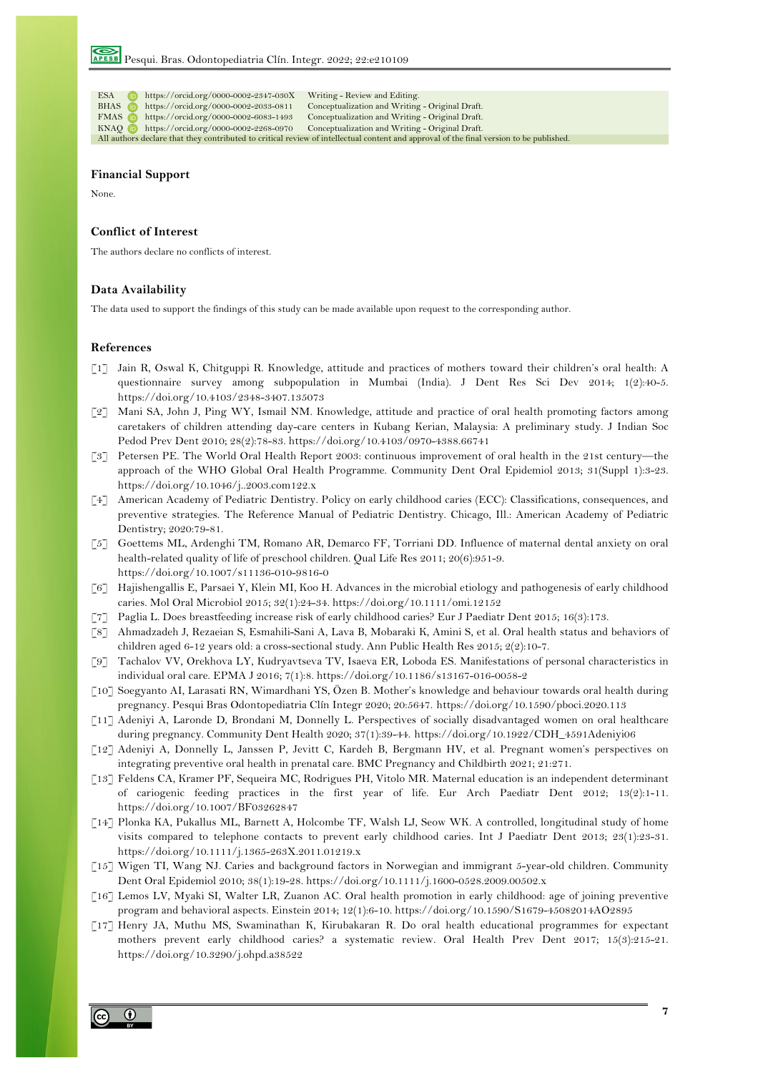| ESA –          | $\frac{1}{100}$ https://orcid.org/0000-0002-2347-030X     | Writing - Review and Editing.                                                                                                           |
|----------------|-----------------------------------------------------------|-----------------------------------------------------------------------------------------------------------------------------------------|
| BHAS <b>iD</b> | https://orcid.org/0000-0002-2033-0811                     | Conceptualization and Writing - Original Draft.                                                                                         |
|                | <b>FMAS b</b> https://orcid.org/0000-0002-6083-1493       | Conceptualization and Writing - Original Draft.                                                                                         |
|                | $KNAO \quad \text{https://orcid.org/0000-0002-2268-0970}$ | Conceptualization and Writing - Original Draft.                                                                                         |
|                |                                                           | All authors declare that they contributed to critical review of intellectual content and approval of the final version to be published. |
|                |                                                           |                                                                                                                                         |

# **Financial Support**

None.

#### **Conflict of Interest**

The authors declare no conflicts of interest.

## **Data Availability**

The data used to support the findings of this study can be made available upon request to the corresponding author.

#### **References**

- [1] Jain R, Oswal K, Chitguppi R. Knowledge, attitude and practices of mothers toward their children's oral health: A questionnaire survey among subpopulation in Mumbai (India). J Dent Res Sci Dev 2014; 1(2):40-5. https://doi.org/10.4103/2348-3407.135073
- [2] Mani SA, John J, Ping WY, Ismail NM. Knowledge, attitude and practice of oral health promoting factors among caretakers of children attending day-care centers in Kubang Kerian, Malaysia: A preliminary study. J Indian Soc Pedod Prev Dent 2010; 28(2):78-83. https://doi.org/10.4103/0970-4388.66741
- [3] Petersen PE. The World Oral Health Report 2003: continuous improvement of oral health in the 21st century—the approach of the WHO Global Oral Health Programme. Community Dent Oral Epidemiol 2013; 31(Suppl 1):3-23. https://doi.org/10.1046/j..2003.com122.x
- [4] American Academy of Pediatric Dentistry. Policy on early childhood caries (ECC): Classifications, consequences, and preventive strategies. The Reference Manual of Pediatric Dentistry. Chicago, Ill.: American Academy of Pediatric Dentistry; 2020:79-81.
- [5] Goettems ML, Ardenghi TM, Romano AR, Demarco FF, Torriani DD. Influence of maternal dental anxiety on oral health-related quality of life of preschool children. Qual Life Res 2011; 20(6):951-9. https://doi.org/10.1007/s11136-010-9816-0
- [6] Hajishengallis E, Parsaei Y, Klein MI, Koo H. Advances in the microbial etiology and pathogenesis of early childhood caries. Mol Oral Microbiol 2015; 32(1):24-34. https://doi.org/10.1111/omi.12152
- [7] Paglia L. Does breastfeeding increase risk of early childhood caries? Eur J Paediatr Dent 2015; 16(3):173.
- [8] Ahmadzadeh J, Rezaeian S, Esmahili-Sani A, Lava B, Mobaraki K, Amini S, et al. Oral health status and behaviors of children aged 6-12 years old: a cross-sectional study. Ann Public Health Res 2015; 2(2):10-7.
- [9] Tachalov VV, Orekhova LY, Kudryavtseva TV, Isaeva ER, Loboda ES. Manifestations of personal characteristics in individual oral care. EPMA J 2016; 7(1):8. https://doi.org/10.1186/s13167-016-0058-2
- [10] Soegyanto AI, Larasati RN, Wimardhani YS, Özen B. Mother's knowledge and behaviour towards oral health during pregnancy. Pesqui Bras Odontopediatria Clín Integr 2020; 20:5647. https://doi.org/10.1590/pboci.2020.113
- [11] Adeniyi A, Laronde D, Brondani M, Donnelly L. Perspectives of socially disadvantaged women on oral healthcare during pregnancy. Community Dent Health 2020; 37(1):39-44. https://doi.org/10.1922/CDH\_4591Adeniyi06
- [12] Adeniyi A, Donnelly L, Janssen P, Jevitt C, Kardeh B, Bergmann HV, et al. Pregnant women's perspectives on integrating preventive oral health in prenatal care. BMC Pregnancy and Childbirth 2021; 21:271.
- [13] Feldens CA, Kramer PF, Sequeira MC, Rodrigues PH, Vitolo MR. Maternal education is an independent determinant of cariogenic feeding practices in the first year of life. Eur Arch Paediatr Dent 2012; 13(2):1-11. https://doi.org/10.1007/BF03262847
- [14] Plonka KA, Pukallus ML, Barnett A, Holcombe TF, Walsh LJ, Seow WK. A controlled, longitudinal study of home visits compared to telephone contacts to prevent early childhood caries. Int J Paediatr Dent 2013; 23(1):23-31. https://doi.org/10.1111/j.1365-263X.2011.01219.x
- [15] Wigen TI, Wang NJ. Caries and background factors in Norwegian and immigrant 5-year-old children. Community Dent Oral Epidemiol 2010; 38(1):19-28. https://doi.org/10.1111/j.1600-0528.2009.00502.x
- [16] Lemos LV, Myaki SI, Walter LR, Zuanon AC. Oral health promotion in early childhood: age of joining preventive program and behavioral aspects. Einstein 2014; 12(1):6-10. https://doi.org/10.1590/S1679-45082014AO2895
- [17] Henry JA, Muthu MS, Swaminathan K, Kirubakaran R. Do oral health educational programmes for expectant mothers prevent early childhood caries? a systematic review. Oral Health Prev Dent 2017; 15(3):215-21. https://doi.org/10.3290/j.ohpd.a38522